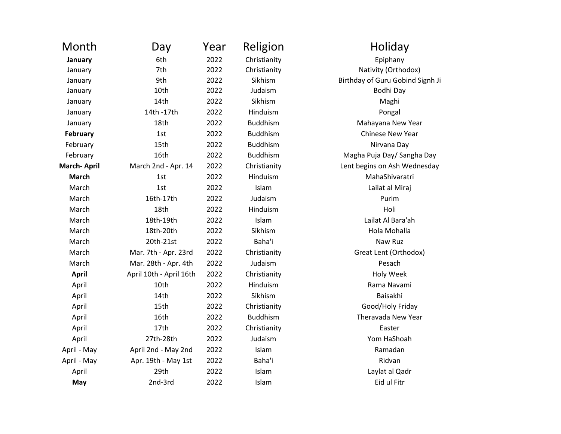| Month              | Day                     | Year | Religion        | Holiday                       |
|--------------------|-------------------------|------|-----------------|-------------------------------|
| January            | 6th                     | 2022 | Christianity    | Epiphany                      |
| January            | 7th                     | 2022 | Christianity    | Nativity (Orthod              |
| January            | 9th                     | 2022 | Sikhism         | <b>Birthday of Guru Gobir</b> |
| January            | 10th                    | 2022 | Judaism         | Bodhi Day                     |
| January            | 14th                    | 2022 | Sikhism         | Maghi                         |
| January            | 14th -17th              | 2022 | Hinduism        | Pongal                        |
| January            | 18th                    | 2022 | <b>Buddhism</b> | Mahayana New \                |
| <b>February</b>    | 1st                     | 2022 | <b>Buddhism</b> | Chinese New Ye                |
| February           | 15th                    | 2022 | <b>Buddhism</b> | Nirvana Day                   |
| February           | 16th                    | 2022 | <b>Buddhism</b> | Magha Puja Day/ San           |
| <b>March-April</b> | March 2nd - Apr. 14     | 2022 | Christianity    | Lent begins on Ash We         |
| <b>March</b>       | 1st                     | 2022 | Hinduism        | MahaShivaratı                 |
| March              | 1st                     | 2022 | Islam           | Lailat al Miraj               |
| March              | 16th-17th               | 2022 | Judaism         | Purim                         |
| March              | 18th                    | 2022 | Hinduism        | Holi                          |
| March              | 18th-19th               | 2022 | Islam           | Lailat Al Bara'a              |
| March              | 18th-20th               | 2022 | Sikhism         | Hola Mohalla                  |
| March              | 20th-21st               | 2022 | Baha'i          | Naw Ruz                       |
| March              | Mar. 7th - Apr. 23rd    | 2022 | Christianity    | Great Lent (Ortho             |
| March              | Mar. 28th - Apr. 4th    | 2022 | Judaism         | Pesach                        |
| <b>April</b>       | April 10th - April 16th | 2022 | Christianity    | Holy Week                     |
| April              | 10th                    | 2022 | Hinduism        | Rama Navami                   |
| April              | 14th                    | 2022 | Sikhism         | Baisakhi                      |
| April              | 15th                    | 2022 | Christianity    | Good/Holy Frid                |
| April              | 16th                    | 2022 | <b>Buddhism</b> | Theravada New \               |
| April              | 17th                    | 2022 | Christianity    | Easter                        |
| April              | 27th-28th               | 2022 | Judaism         | Yom HaShoah                   |
| April - May        | April 2nd - May 2nd     | 2022 | Islam           | Ramadan                       |
| April - May        | Apr. 19th - May 1st     | 2022 | Baha'i          | Ridvan                        |
| April              | 29th                    | 2022 | Islam           | Laylat al Qadr                |
| May                | 2nd-3rd                 | 2022 | Islam           | Eid ul Fitr                   |
|                    |                         |      |                 |                               |

Holiday Nativity (Orthodox) Birthday of Guru Gobind Signh Ji Mahayana New Year **Chinese New Year** Magha Puja Day/ Sangha Day Lent begins on Ash Wednesday **MahaShivaratri** Lailat al Miraj Lailat Al Bara'ah Great Lent (Orthodox) Rama Navami Good/Holy Friday Theravada New Year Yom HaShoah Laylat al Qadr